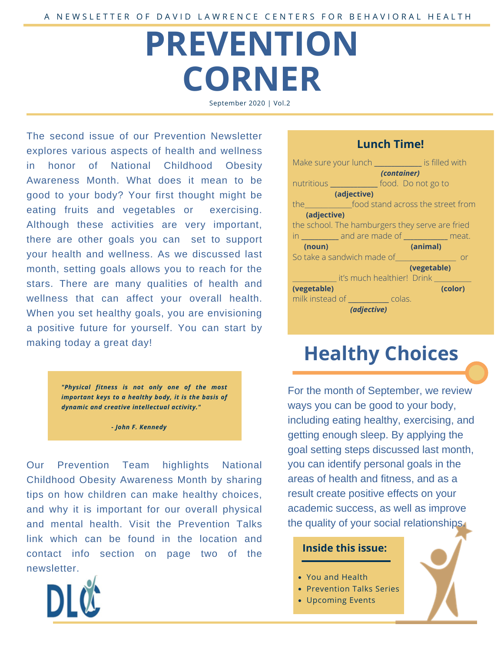# **PREVENTION CORNER**

September 2020 | Vol.2

The second issue of our Prevention Newsletter explores various aspects of health and wellness in honor of National Childhood Obesity Awareness Month. What does it mean to be good to your body? Your first thought might be eating fruits and vegetables or exercising. Although these activities are very important, there are other goals you can set to support your health and wellness. As we discussed last month, setting goals allows you to reach for the stars. There are many qualities of health and wellness that can affect your overall health. When you set healthy goals, you are envisioning a positive future for yourself. You can start by making today a great day!

> *"Physical fitness is not only one of the most important keys to a healthy body, it is the basis of dynamic and creative intellectual activity."*

> > *- John F. Kennedy*

Our Prevention Team highlights National Childhood Obesity Awareness Month by sharing tips on how children can make healthy choices, and why it is important for our overall physical and mental health. Visit the Prevention Talks link which can be found in the location and contact info section on page two of the newsletter.



### **Lunch Time!**

| Make sure your lunch ___________ is filled with                                                                                                                                                                                            |
|--------------------------------------------------------------------------------------------------------------------------------------------------------------------------------------------------------------------------------------------|
| (container)                                                                                                                                                                                                                                |
| nutritious ______________ food. Do not go to                                                                                                                                                                                               |
| (adjective)                                                                                                                                                                                                                                |
| the <b>comparison</b> food stand across the street from                                                                                                                                                                                    |
| (adjective)                                                                                                                                                                                                                                |
| the school. The hamburgers they serve are fried                                                                                                                                                                                            |
| in ___________ and are made of ____________ meat.                                                                                                                                                                                          |
| (noun)<br>(animal)                                                                                                                                                                                                                         |
| So take a sandwich made of <b>with a state of the same of the same of the state of the state of the state of the state of the state of the state of the state of the state of the state of the state of the state of the state o</b><br>or |
| (vegetable)                                                                                                                                                                                                                                |
| it's much healthier! Drink                                                                                                                                                                                                                 |
| (vegetable)<br>(color)                                                                                                                                                                                                                     |
| milk instead of ____________ colas.                                                                                                                                                                                                        |
| (adjective)                                                                                                                                                                                                                                |

## **Healthy Choices**

For the month of September, we review ways you can be good to your body, including eating healthy, exercising, and getting enough sleep. By applying the goal setting steps discussed last month, you can identify personal goals in the areas of health and fitness, and as a result create positive effects on your academic success, as well as improve the quality of your social relationships.

#### **Inside this issue:**

- You and Health
- Prevention Talks Series
- Upcoming Events